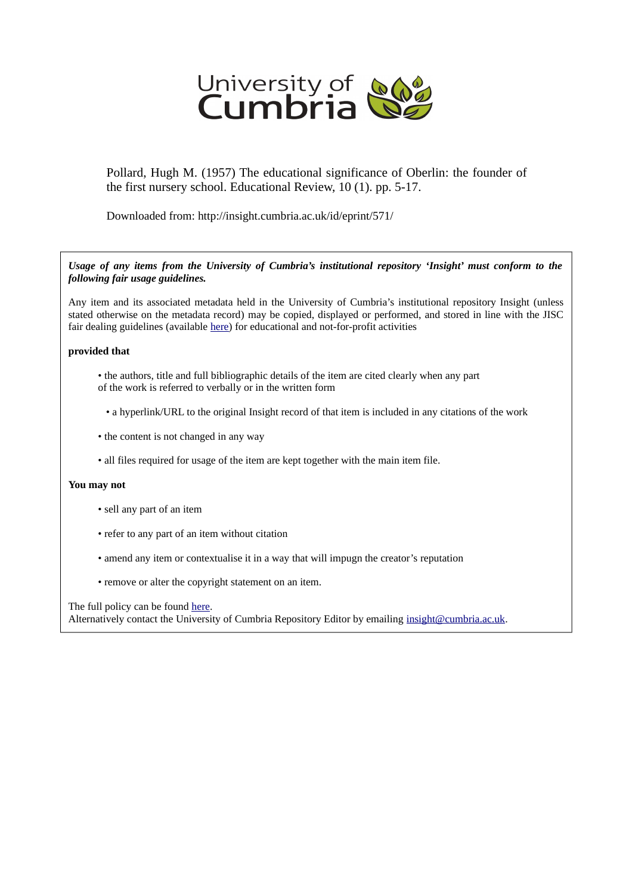

Pollard, Hugh M. (1957) The educational significance of Oberlin: the founder of the first nursery school. Educational Review, 10 (1). pp. 5-17.

Downloaded from: http://insight.cumbria.ac.uk/id/eprint/571/

*Usage of any items from the University of Cumbria's institutional repository 'Insight' must conform to the following fair usage guidelines.*

Any item and its associated metadata held in the University of Cumbria's institutional repository Insight (unless stated otherwise on the metadata record) may be copied, displayed or performed, and stored in line with the JISC fair dealing guidelines (available [here\)](http://www.ukoln.ac.uk/services/elib/papers/pa/fair/) for educational and not-for-profit activities

### **provided that**

- the authors, title and full bibliographic details of the item are cited clearly when any part of the work is referred to verbally or in the written form
	- a hyperlink/URL to the original Insight record of that item is included in any citations of the work
- the content is not changed in any way
- all files required for usage of the item are kept together with the main item file.

#### **You may not**

- sell any part of an item
- refer to any part of an item without citation
- amend any item or contextualise it in a way that will impugn the creator's reputation
- remove or alter the copyright statement on an item.

The full policy can be found [here.](http://insight.cumbria.ac.uk/legal.html#section5)

Alternatively contact the University of Cumbria Repository Editor by emailing [insight@cumbria.ac.uk.](mailto:insight@cumbria.ac.uk)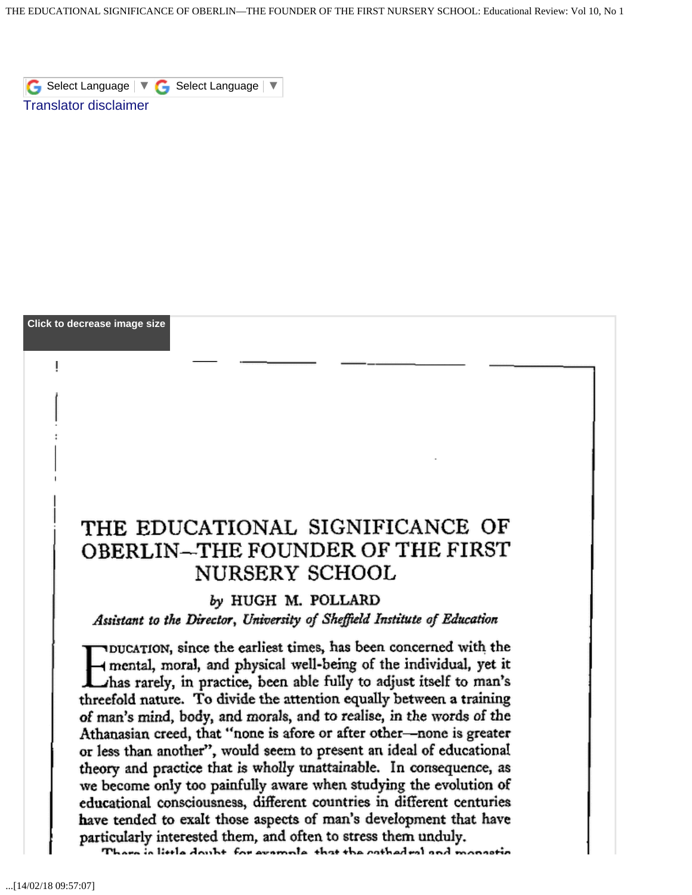# THE EDUCATIONAL SIGNIFICANCE OF **OBERLIN–THE FOUNDER OF THE FIRST** NURSERY SCHOOL

## by HUGH M. POLLARD

## Assistant to the Director, University of Sheffield Institute of Education

TDUCATION, since the earliest times, has been concerned with the mental, moral, and physical well-being of the individual, yet it Thas rarely, in practice, been able fully to adjust itself to man's threefold nature. To divide the attention equally between a training of man's mind, body, and morals, and to realise, in the words of the Athanasian creed, that "none is afore or after other-none is greater or less than another", would seem to present an ideal of educational theory and practice that is wholly unattainable. In consequence, as we become only too painfully aware when studying the evolution of educational consciousness, different countries in different centuries have tended to exalt those aspects of man's development that have particularly interested them, and often to stress them unduly.

There is little doubt, for example, that the cathedral and monastic